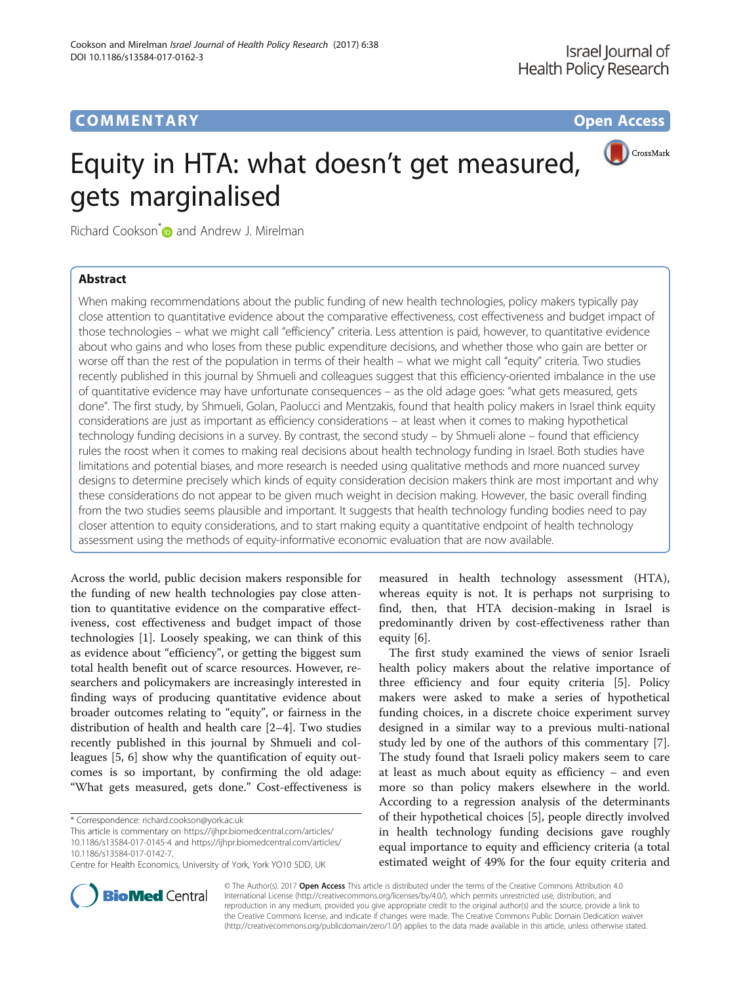# **COMMENTARY COMMENTARY Open Access**



# Equity in HTA: what doesn't get measured, gets marginalised

Richard Cookson<sup>[\\*](http://orcid.org/0000-0003-0052-996X)</sup> and Andrew J. Mirelman

# Abstract

When making recommendations about the public funding of new health technologies, policy makers typically pay close attention to quantitative evidence about the comparative effectiveness, cost effectiveness and budget impact of those technologies – what we might call "efficiency" criteria. Less attention is paid, however, to quantitative evidence about who gains and who loses from these public expenditure decisions, and whether those who gain are better or worse off than the rest of the population in terms of their health – what we might call "equity" criteria. Two studies recently published in this journal by Shmueli and colleagues suggest that this efficiency-oriented imbalance in the use of quantitative evidence may have unfortunate consequences – as the old adage goes: "what gets measured, gets done". The first study, by Shmueli, Golan, Paolucci and Mentzakis, found that health policy makers in Israel think equity considerations are just as important as efficiency considerations – at least when it comes to making hypothetical technology funding decisions in a survey. By contrast, the second study – by Shmueli alone – found that efficiency rules the roost when it comes to making real decisions about health technology funding in Israel. Both studies have limitations and potential biases, and more research is needed using qualitative methods and more nuanced survey designs to determine precisely which kinds of equity consideration decision makers think are most important and why these considerations do not appear to be given much weight in decision making. However, the basic overall finding from the two studies seems plausible and important. It suggests that health technology funding bodies need to pay closer attention to equity considerations, and to start making equity a quantitative endpoint of health technology assessment using the methods of equity-informative economic evaluation that are now available.

Across the world, public decision makers responsible for the funding of new health technologies pay close attention to quantitative evidence on the comparative effectiveness, cost effectiveness and budget impact of those technologies [[1\]](#page-3-0). Loosely speaking, we can think of this as evidence about "efficiency", or getting the biggest sum total health benefit out of scarce resources. However, researchers and policymakers are increasingly interested in finding ways of producing quantitative evidence about broader outcomes relating to "equity", or fairness in the distribution of health and health care [[2](#page-3-0)–[4](#page-3-0)]. Two studies recently published in this journal by Shmueli and colleagues [[5, 6\]](#page-3-0) show why the quantification of equity outcomes is so important, by confirming the old adage: "What gets measured, gets done." Cost-effectiveness is

This article is commentary on [https://ijhpr.biomedcentral.com/articles/](https://ijhpr.biomedcentral.com/articles/10.1186/s13584-017-0145-4) [10.1186/s13584-017-0145-4](https://ijhpr.biomedcentral.com/articles/10.1186/s13584-017-0145-4) and [https://ijhpr.biomedcentral.com/articles/](https://ijhpr.biomedcentral.com/articles/10.1186/s13584-017-0142-7) [10.1186/s13584-017-0142-7](https://ijhpr.biomedcentral.com/articles/10.1186/s13584-017-0142-7).

measured in health technology assessment (HTA), whereas equity is not. It is perhaps not surprising to find, then, that HTA decision-making in Israel is predominantly driven by cost-effectiveness rather than equity [[6\]](#page-3-0).

The first study examined the views of senior Israeli health policy makers about the relative importance of three efficiency and four equity criteria [[5](#page-3-0)]. Policy makers were asked to make a series of hypothetical funding choices, in a discrete choice experiment survey designed in a similar way to a previous multi-national study led by one of the authors of this commentary [\[7](#page-3-0)]. The study found that Israeli policy makers seem to care at least as much about equity as efficiency – and even more so than policy makers elsewhere in the world. According to a regression analysis of the determinants of their hypothetical choices [\[5](#page-3-0)], people directly involved in health technology funding decisions gave roughly equal importance to equity and efficiency criteria (a total estimated weight of 49% for the four equity criteria and



© The Author(s). 2017 **Open Access** This article is distributed under the terms of the Creative Commons Attribution 4.0 International License [\(http://creativecommons.org/licenses/by/4.0/](http://creativecommons.org/licenses/by/4.0/)), which permits unrestricted use, distribution, and reproduction in any medium, provided you give appropriate credit to the original author(s) and the source, provide a link to the Creative Commons license, and indicate if changes were made. The Creative Commons Public Domain Dedication waiver [\(http://creativecommons.org/publicdomain/zero/1.0/](http://creativecommons.org/publicdomain/zero/1.0/)) applies to the data made available in this article, unless otherwise stated.

<sup>\*</sup> Correspondence: [richard.cookson@york.ac.uk](mailto:richard.cookson@york.ac.uk)

Centre for Health Economics, University of York, York YO10 5DD, UK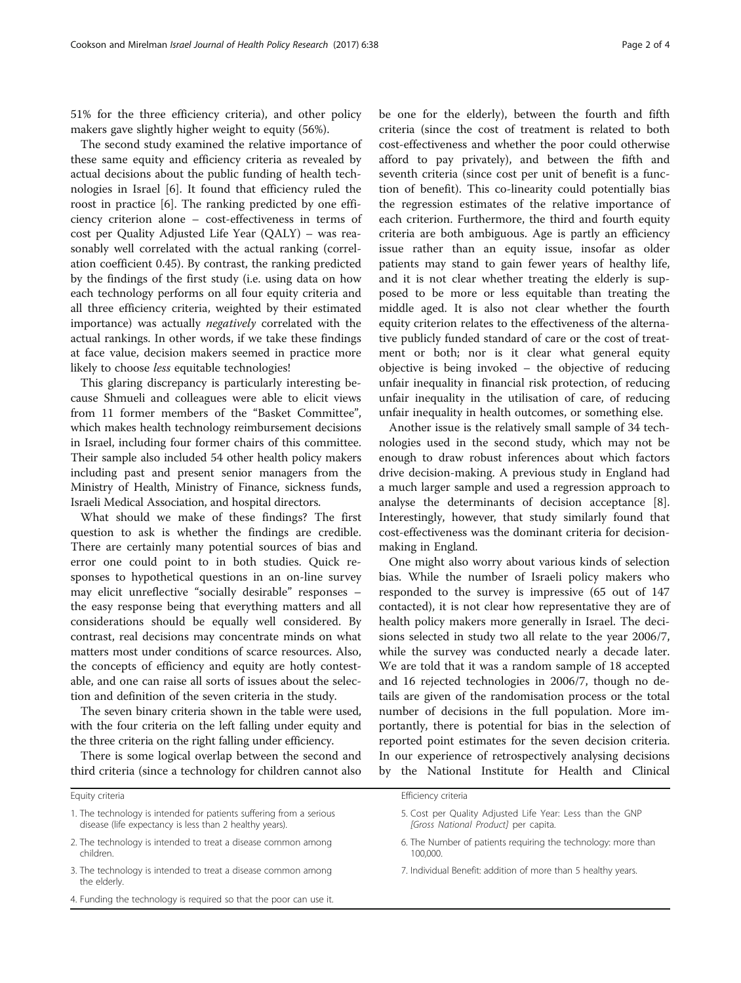51% for the three efficiency criteria), and other policy makers gave slightly higher weight to equity (56%).

The second study examined the relative importance of these same equity and efficiency criteria as revealed by actual decisions about the public funding of health technologies in Israel [\[6](#page-3-0)]. It found that efficiency ruled the roost in practice [[6\]](#page-3-0). The ranking predicted by one efficiency criterion alone – cost-effectiveness in terms of cost per Quality Adjusted Life Year (QALY) – was reasonably well correlated with the actual ranking (correlation coefficient 0.45). By contrast, the ranking predicted by the findings of the first study (i.e. using data on how each technology performs on all four equity criteria and all three efficiency criteria, weighted by their estimated importance) was actually negatively correlated with the actual rankings. In other words, if we take these findings at face value, decision makers seemed in practice more likely to choose less equitable technologies!

This glaring discrepancy is particularly interesting because Shmueli and colleagues were able to elicit views from 11 former members of the "Basket Committee", which makes health technology reimbursement decisions in Israel, including four former chairs of this committee. Their sample also included 54 other health policy makers including past and present senior managers from the Ministry of Health, Ministry of Finance, sickness funds, Israeli Medical Association, and hospital directors.

What should we make of these findings? The first question to ask is whether the findings are credible. There are certainly many potential sources of bias and error one could point to in both studies. Quick responses to hypothetical questions in an on-line survey may elicit unreflective "socially desirable" responses – the easy response being that everything matters and all considerations should be equally well considered. By contrast, real decisions may concentrate minds on what matters most under conditions of scarce resources. Also, the concepts of efficiency and equity are hotly contestable, and one can raise all sorts of issues about the selection and definition of the seven criteria in the study.

The seven binary criteria shown in the table were used, with the four criteria on the left falling under equity and the three criteria on the right falling under efficiency.

There is some logical overlap between the second and third criteria (since a technology for children cannot also

Another issue is the relatively small sample of 34 technologies used in the second study, which may not be enough to draw robust inferences about which factors drive decision-making. A previous study in England had a much larger sample and used a regression approach to analyse the determinants of decision acceptance [\[8](#page-3-0)]. Interestingly, however, that study similarly found that cost-effectiveness was the dominant criteria for decisionmaking in England.

One might also worry about various kinds of selection bias. While the number of Israeli policy makers who responded to the survey is impressive (65 out of 147 contacted), it is not clear how representative they are of health policy makers more generally in Israel. The decisions selected in study two all relate to the year 2006/7, while the survey was conducted nearly a decade later. We are told that it was a random sample of 18 accepted and 16 rejected technologies in 2006/7, though no details are given of the randomisation process or the total number of decisions in the full population. More importantly, there is potential for bias in the selection of reported point estimates for the seven decision criteria. In our experience of retrospectively analysing decisions by the National Institute for Health and Clinical

| Equity criteria                                                                                                                | Efficiency criteria                                                                               |
|--------------------------------------------------------------------------------------------------------------------------------|---------------------------------------------------------------------------------------------------|
| 1. The technology is intended for patients suffering from a serious<br>disease (life expectancy is less than 2 healthy years). | 5. Cost per Quality Adjusted Life Year: Less than the GNP<br>[Gross National Product] per capita. |
| 2. The technology is intended to treat a disease common among<br>children.                                                     | 6. The Number of patients requiring the technology: more than<br>100.000.                         |
| 3. The technology is intended to treat a disease common among<br>the elderly.                                                  | 7. Individual Benefit: addition of more than 5 healthy years.                                     |
| 4. Funding the technology is required so that the poor can use it.                                                             |                                                                                                   |

be one for the elderly), between the fourth and fifth criteria (since the cost of treatment is related to both cost-effectiveness and whether the poor could otherwise afford to pay privately), and between the fifth and seventh criteria (since cost per unit of benefit is a function of benefit). This co-linearity could potentially bias the regression estimates of the relative importance of each criterion. Furthermore, the third and fourth equity criteria are both ambiguous. Age is partly an efficiency issue rather than an equity issue, insofar as older patients may stand to gain fewer years of healthy life, and it is not clear whether treating the elderly is supposed to be more or less equitable than treating the middle aged. It is also not clear whether the fourth equity criterion relates to the effectiveness of the alternative publicly funded standard of care or the cost of treatment or both; nor is it clear what general equity objective is being invoked – the objective of reducing unfair inequality in financial risk protection, of reducing unfair inequality in the utilisation of care, of reducing unfair inequality in health outcomes, or something else.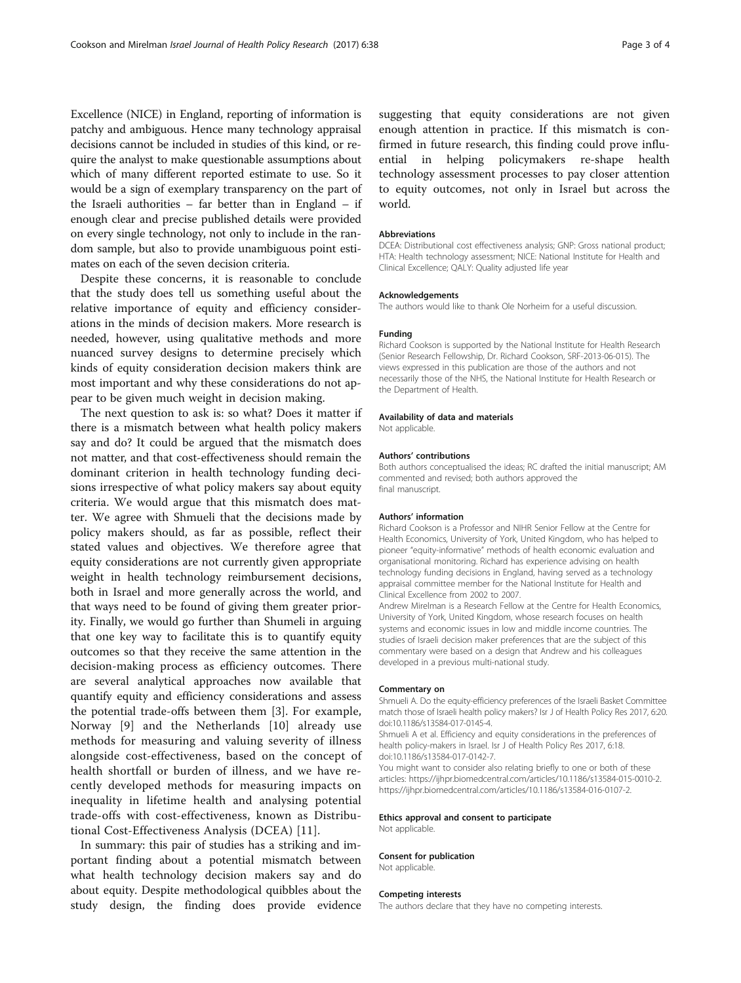Excellence (NICE) in England, reporting of information is patchy and ambiguous. Hence many technology appraisal decisions cannot be included in studies of this kind, or require the analyst to make questionable assumptions about which of many different reported estimate to use. So it would be a sign of exemplary transparency on the part of the Israeli authorities – far better than in England – if enough clear and precise published details were provided on every single technology, not only to include in the random sample, but also to provide unambiguous point estimates on each of the seven decision criteria.

Despite these concerns, it is reasonable to conclude that the study does tell us something useful about the relative importance of equity and efficiency considerations in the minds of decision makers. More research is needed, however, using qualitative methods and more nuanced survey designs to determine precisely which kinds of equity consideration decision makers think are most important and why these considerations do not appear to be given much weight in decision making.

The next question to ask is: so what? Does it matter if there is a mismatch between what health policy makers say and do? It could be argued that the mismatch does not matter, and that cost-effectiveness should remain the dominant criterion in health technology funding decisions irrespective of what policy makers say about equity criteria. We would argue that this mismatch does matter. We agree with Shmueli that the decisions made by policy makers should, as far as possible, reflect their stated values and objectives. We therefore agree that equity considerations are not currently given appropriate weight in health technology reimbursement decisions, both in Israel and more generally across the world, and that ways need to be found of giving them greater priority. Finally, we would go further than Shumeli in arguing that one key way to facilitate this is to quantify equity outcomes so that they receive the same attention in the decision-making process as efficiency outcomes. There are several analytical approaches now available that quantify equity and efficiency considerations and assess the potential trade-offs between them [\[3](#page-3-0)]. For example, Norway [[9\]](#page-3-0) and the Netherlands [\[10](#page-3-0)] already use methods for measuring and valuing severity of illness alongside cost-effectiveness, based on the concept of health shortfall or burden of illness, and we have recently developed methods for measuring impacts on inequality in lifetime health and analysing potential trade-offs with cost-effectiveness, known as Distributional Cost-Effectiveness Analysis (DCEA) [[11\]](#page-3-0).

In summary: this pair of studies has a striking and important finding about a potential mismatch between what health technology decision makers say and do about equity. Despite methodological quibbles about the study design, the finding does provide evidence suggesting that equity considerations are not given enough attention in practice. If this mismatch is confirmed in future research, this finding could prove influential in helping policymakers re-shape health technology assessment processes to pay closer attention to equity outcomes, not only in Israel but across the world.

## Abbreviations

DCEA: Distributional cost effectiveness analysis; GNP: Gross national product; HTA: Health technology assessment; NICE: National Institute for Health and Clinical Excellence; QALY: Quality adjusted life year

#### Acknowledgements

The authors would like to thank Ole Norheim for a useful discussion.

# Funding

Richard Cookson is supported by the National Institute for Health Research (Senior Research Fellowship, Dr. Richard Cookson, SRF-2013-06-015). The views expressed in this publication are those of the authors and not necessarily those of the NHS, the National Institute for Health Research or the Department of Health.

#### Availability of data and materials

Not applicable.

### Authors' contributions

Both authors conceptualised the ideas; RC drafted the initial manuscript; AM commented and revised; both authors approved the final manuscript.

## Authors' information

Richard Cookson is a Professor and NIHR Senior Fellow at the Centre for Health Economics, University of York, United Kingdom, who has helped to pioneer "equity-informative" methods of health economic evaluation and organisational monitoring. Richard has experience advising on health technology funding decisions in England, having served as a technology appraisal committee member for the National Institute for Health and Clinical Excellence from 2002 to 2007.

Andrew Mirelman is a Research Fellow at the Centre for Health Economics, University of York, United Kingdom, whose research focuses on health systems and economic issues in low and middle income countries. The studies of Israeli decision maker preferences that are the subject of this commentary were based on a design that Andrew and his colleagues developed in a previous multi-national study.

#### Commentary on

Shmueli A. Do the equity-efficiency preferences of the Israeli Basket Committee match those of Israeli health policy makers? Isr J of Health Policy Res 2017, 6:20. doi[:10.1186/s13584-017-0145-4](http://dx.doi.org/10.1186/s13584-017-0145-4).

Shmueli A et al. Efficiency and equity considerations in the preferences of health policy-makers in Israel. Isr J of Health Policy Res 2017, 6:18. doi:[10.1186/s13584-017-0142-7](http://dx.doi.org/10.1186/s13584-017-0142-7).

You might want to consider also relating briefly to one or both of these articles: [https://ijhpr.biomedcentral.com/articles/10.1186/s13584-015-0010-2.](https://ijhpr.biomedcentral.com/articles/10.1186/s13584-015-0010-2) [https://ijhpr.biomedcentral.com/articles/10.1186/s13584-016-0107-2.](https://ijhpr.biomedcentral.com/articles/10.1186/s13584-016-0107-2)

# Ethics approval and consent to participate

Not applicable.

#### Consent for publication

Not applicable.

## Competing interests

The authors declare that they have no competing interests.